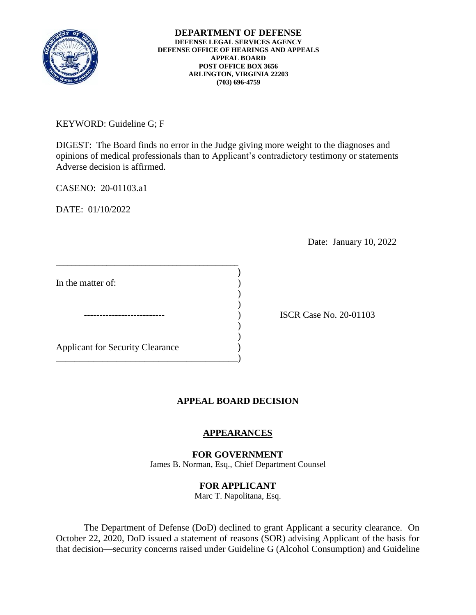

**DEPARTMENT OF DEFENSE DEFENSE LEGAL SERVICES AGENCY DEFENSE OFFICE OF HEARINGS AND APPEALS APPEAL BOARD POST OFFICE BOX 3656 ARLINGTON, VIRGINIA 22203 (703) 696-4759** 

KEYWORD: Guideline G; F

DIGEST: The Board finds no error in the Judge giving more weight to the diagnoses and opinions of medical professionals than to Applicant's contradictory testimony or statements Adverse decision is affirmed.

CASENO: 20-01103.a1

DATE: 01/10/2022

Date: January 10, 2022

In the matter of:

 $\overline{\phantom{a}}$ Applicant for Security Clearance )

\_\_\_\_\_\_\_\_\_\_\_\_\_\_\_\_\_\_\_\_\_\_\_\_\_\_\_\_\_\_\_\_\_\_\_\_\_\_\_\_\_\_\_\_\_\_\_

 $)$ 

\_\_\_\_\_\_\_\_\_\_\_\_\_\_\_\_\_\_\_\_\_\_\_\_\_\_\_\_\_\_\_\_\_\_\_\_\_\_\_)

) ISCR Case No. 20-01103

## **APPEAL BOARD DECISION**

)

) )

## **APPEARANCES**

**FOR GOVERNMENT**  James B. Norman, Esq., Chief Department Counsel

## **FOR APPLICANT**

Marc T. Napolitana, Esq.

 The Department of Defense (DoD) declined to grant Applicant a security clearance. On October 22, 2020, DoD issued a statement of reasons (SOR) advising Applicant of the basis for that decision—security concerns raised under Guideline G (Alcohol Consumption) and Guideline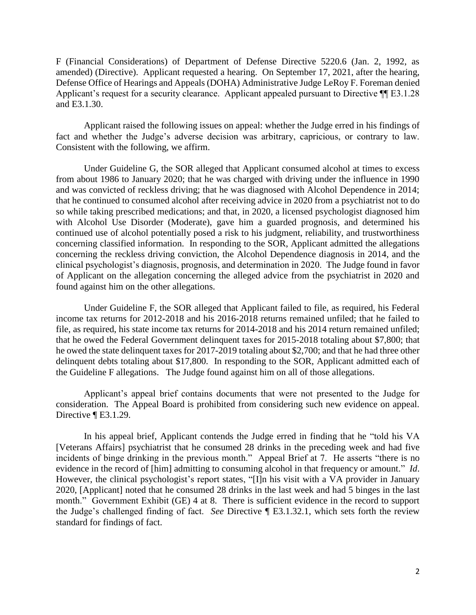F (Financial Considerations) of Department of Defense Directive 5220.6 (Jan. 2, 1992, as amended) (Directive). Applicant requested a hearing. On September 17, 2021, after the hearing, Defense Office of Hearings and Appeals (DOHA) Administrative Judge LeRoy F. Foreman denied Applicant's request for a security clearance. Applicant appealed pursuant to Directive  $\P$ [E3.1.28 and E3.1.30.

 Applicant raised the following issues on appeal: whether the Judge erred in his findings of fact and whether the Judge's adverse decision was arbitrary, capricious, or contrary to law. Consistent with the following, we affirm.

 Under Guideline G, the SOR alleged that Applicant consumed alcohol at times to excess from about 1986 to January 2020; that he was charged with driving under the influence in 1990 and was convicted of reckless driving; that he was diagnosed with Alcohol Dependence in 2014; that he continued to consumed alcohol after receiving advice in 2020 from a psychiatrist not to do with Alcohol Use Disorder (Moderate), gave him a guarded prognosis, and determined his continued use of alcohol potentially posed a risk to his judgment, reliability, and trustworthiness concerning the reckless driving conviction, the Alcohol Dependence diagnosis in 2014, and the clinical psychologist's diagnosis, prognosis, and determination in 2020. The Judge found in favor so while taking prescribed medications; and that, in 2020, a licensed psychologist diagnosed him concerning classified information. In responding to the SOR, Applicant admitted the allegations of Applicant on the allegation concerning the alleged advice from the psychiatrist in 2020 and found against him on the other allegations.

 income tax returns for 2012-2018 and his 2016-2018 returns remained unfiled; that he failed to he owed the state delinquent taxes for 2017-2019 totaling about \$2,700; and that he had three other Under Guideline F, the SOR alleged that Applicant failed to file, as required, his Federal file, as required, his state income tax returns for 2014-2018 and his 2014 return remained unfiled; that he owed the Federal Government delinquent taxes for 2015-2018 totaling about \$7,800; that delinquent debts totaling about \$17,800. In responding to the SOR, Applicant admitted each of the Guideline F allegations. The Judge found against him on all of those allegations.

 Applicant's appeal brief contains documents that were not presented to the Judge for consideration. The Appeal Board is prohibited from considering such new evidence on appeal. Directive ¶ E3.1.29.

 In his appeal brief, Applicant contends the Judge erred in finding that he "told his VA incidents of binge drinking in the previous month." Appeal Brief at 7. He asserts "there is no evidence in the record of [him] admitting to consuming alcohol in that frequency or amount." *Id*. month." Government Exhibit (GE) 4 at 8. There is sufficient evidence in the record to support the Judge's challenged finding of fact. *See* Directive ¶ E3.1.32.1, which sets forth the review [Veterans Affairs] psychiatrist that he consumed 28 drinks in the preceding week and had five However, the clinical psychologist's report states, "[I]n his visit with a VA provider in January 2020, [Applicant] noted that he consumed 28 drinks in the last week and had 5 binges in the last standard for findings of fact.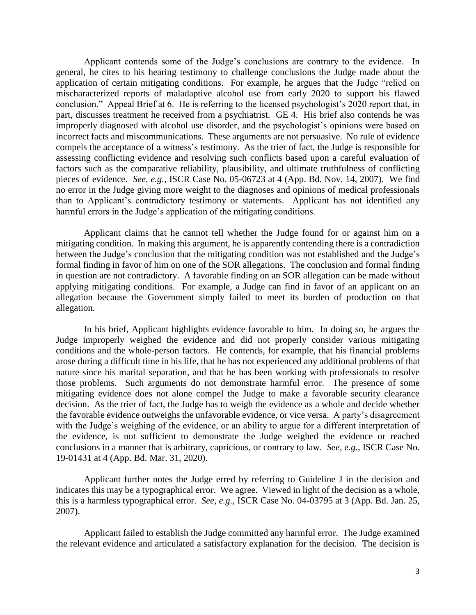Applicant contends some of the Judge's conclusions are contrary to the evidence. In general, he cites to his hearing testimony to challenge conclusions the Judge made about the application of certain mitigating conditions. For example, he argues that the Judge "relied on mischaracterized reports of maladaptive alcohol use from early 2020 to support his flawed part, discusses treatment he received from a psychiatrist. GE 4. His brief also contends he was improperly diagnosed with alcohol use disorder, and the psychologist's opinions were based on incorrect facts and miscommunications. These arguments are not persuasive. No rule of evidence compels the acceptance of a witness's testimony. As the trier of fact, the Judge is responsible for pieces of evidence. *See, e.g.*, ISCR Case No. 05-06723 at 4 (App. Bd. Nov. 14, 2007). We find conclusion." Appeal Brief at 6. He is referring to the licensed psychologist's 2020 report that, in assessing conflicting evidence and resolving such conflicts based upon a careful evaluation of factors such as the comparative reliability, plausibility, and ultimate truthfulness of conflicting no error in the Judge giving more weight to the diagnoses and opinions of medical professionals than to Applicant's contradictory testimony or statements. Applicant has not identified any harmful errors in the Judge's application of the mitigating conditions.

 Applicant claims that he cannot tell whether the Judge found for or against him on a mitigating condition. In making this argument, he is apparently contending there is a contradiction in question are not contradictory. A favorable finding on an SOR allegation can be made without applying mitigating conditions. For example, a Judge can find in favor of an applicant on an between the Judge's conclusion that the mitigating condition was not established and the Judge's formal finding in favor of him on one of the SOR allegations. The conclusion and formal finding allegation because the Government simply failed to meet its burden of production on that allegation.

 In his brief, Applicant highlights evidence favorable to him. In doing so, he argues the Judge improperly weighed the evidence and did not properly consider various mitigating conditions and the whole-person factors. He contends, for example, that his financial problems arose during a difficult time in his life, that he has not experienced any additional problems of that nature since his marital separation, and that he has been working with professionals to resolve those problems. Such arguments do not demonstrate harmful error. The presence of some mitigating evidence does not alone compel the Judge to make a favorable security clearance the favorable evidence outweighs the unfavorable evidence, or vice versa. A party's disagreement with the Judge's weighing of the evidence, or an ability to argue for a different interpretation of the evidence, is not sufficient to demonstrate the Judge weighed the evidence or reached decision. As the trier of fact, the Judge has to weigh the evidence as a whole and decide whether conclusions in a manner that is arbitrary, capricious, or contrary to law. *See, e.g.,* ISCR Case No. 19-01431 at 4 (App. Bd. Mar. 31, 2020).

 Applicant further notes the Judge erred by referring to Guideline J in the decision and indicates this may be a typographical error. We agree. Viewed in light of the decision as a whole, this is a harmless typographical error. *See, e.g.,* ISCR Case No. 04-03795 at 3 (App. Bd. Jan. 25, 2007).

 Applicant failed to establish the Judge committed any harmful error. The Judge examined the relevant evidence and articulated a satisfactory explanation for the decision. The decision is